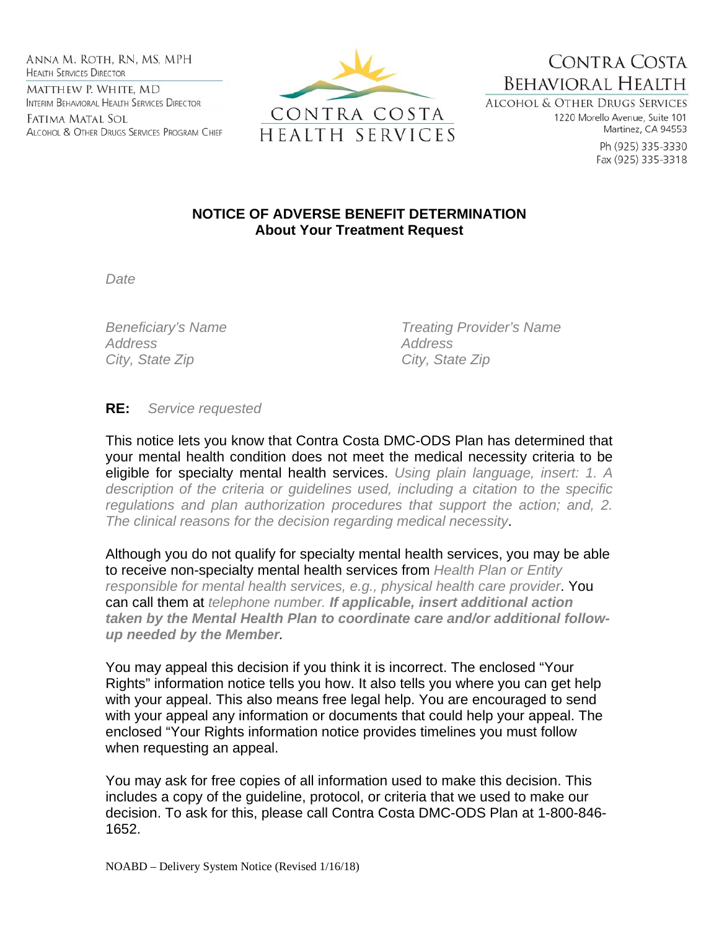Anna M. Roth, RN, MS, MPH **HEALTH SERVICES DIRECTOR** MATTHEW P. WHITE, MD INTERIM BEHAVIORAL HEALTH SERVICES DIRECTOR

Fatima Matal Sol ALCOHOL & OTHER DRUGS SERVICES PROGRAM CHIEF



**BEHAVIORAL HEALTH** ALCOHOL & OTHER DRUGS SERVICES

1220 Morello Avenue, Suite 101 Martinez, CA 94553

CONTRA COSTA

Ph (925) 335-3330 Fax (925) 335-3318

## **NOTICE OF ADVERSE BENEFIT DETERMINATION About Your Treatment Request**

*Date* 

*Address Address*  City, State Zip **City**, State Zip

*Beneficiary's Name Treating Provider's Name* 

## **RE:** *Service requested*

This notice lets you know that Contra Costa DMC-ODS Plan has determined that your mental health condition does not meet the medical necessity criteria to be eligible for specialty mental health services. *Using plain language, insert: 1. A description of the criteria or guidelines used, including a citation to the specific regulations and plan authorization procedures that support the action; and, 2. The clinical reasons for the decision regarding medical necessity*.

Although you do not qualify for specialty mental health services, you may be able to receive non-specialty mental health services from *Health Plan or Entity responsible for mental health services, e.g., physical health care provider*. You can call them at *telephone number. If applicable, insert additional action taken by the Mental Health Plan to coordinate care and/or additional followup needed by the Member.* 

You may appeal this decision if you think it is incorrect. The enclosed "Your Rights" information notice tells you how. It also tells you where you can get help with your appeal. This also means free legal help. You are encouraged to send with your appeal any information or documents that could help your appeal. The enclosed "Your Rights information notice provides timelines you must follow when requesting an appeal.

You may ask for free copies of all information used to make this decision. This includes a copy of the guideline, protocol, or criteria that we used to make our decision. To ask for this, please call Contra Costa DMC-ODS Plan at 1-800-846- 1652.